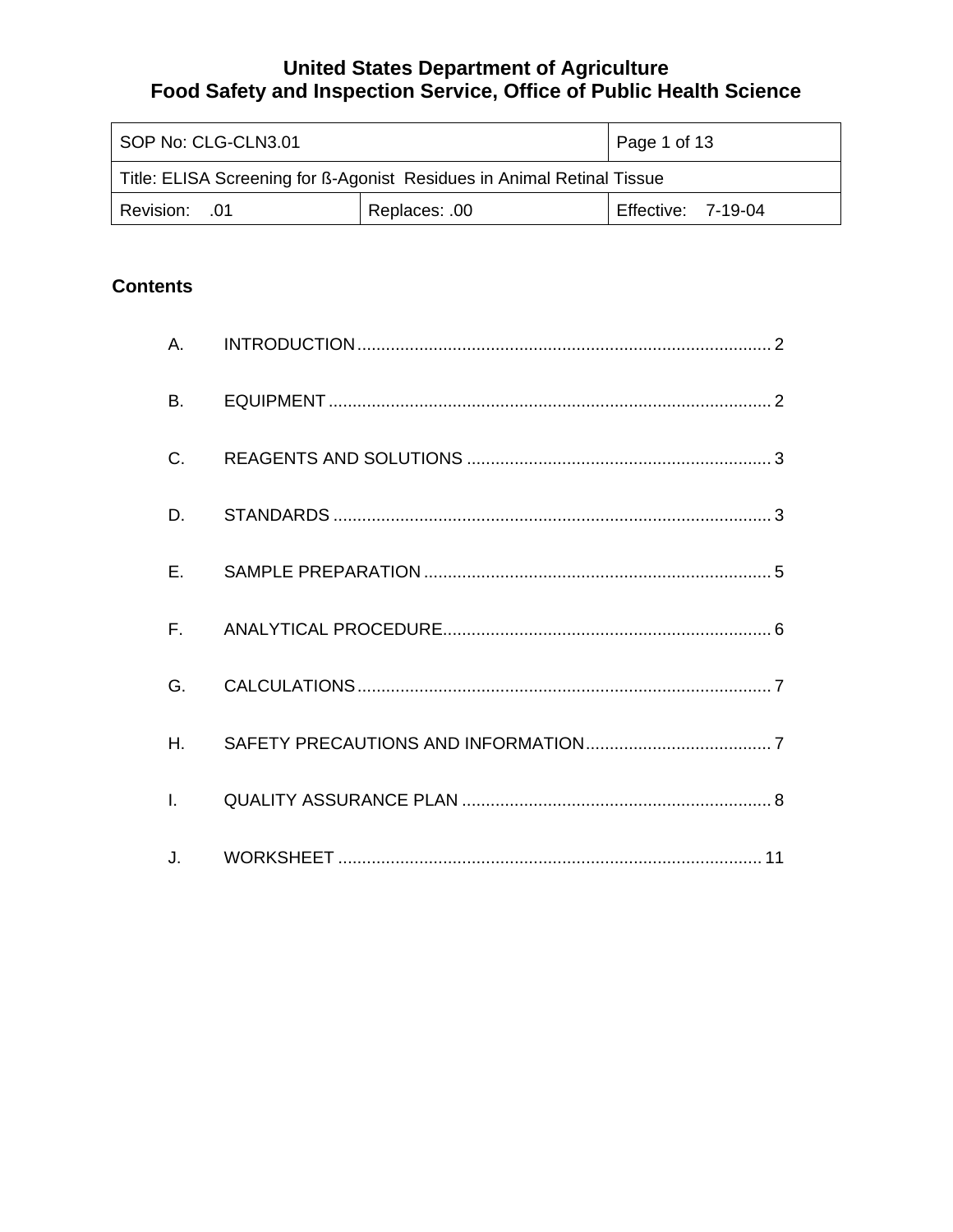| SOP No: CLG-CLN3.01                                                    |               | $\vert$ Page 1 of 13 |
|------------------------------------------------------------------------|---------------|----------------------|
| Title: ELISA Screening for B-Agonist Residues in Animal Retinal Tissue |               |                      |
| Revision: .01                                                          | Replaces: .00 | Effective: 7-19-04   |

# **Contents**

| В.             |  |
|----------------|--|
| C.             |  |
| D.             |  |
| $E_{\rm{max}}$ |  |
|                |  |
| G.             |  |
| H.             |  |
|                |  |
|                |  |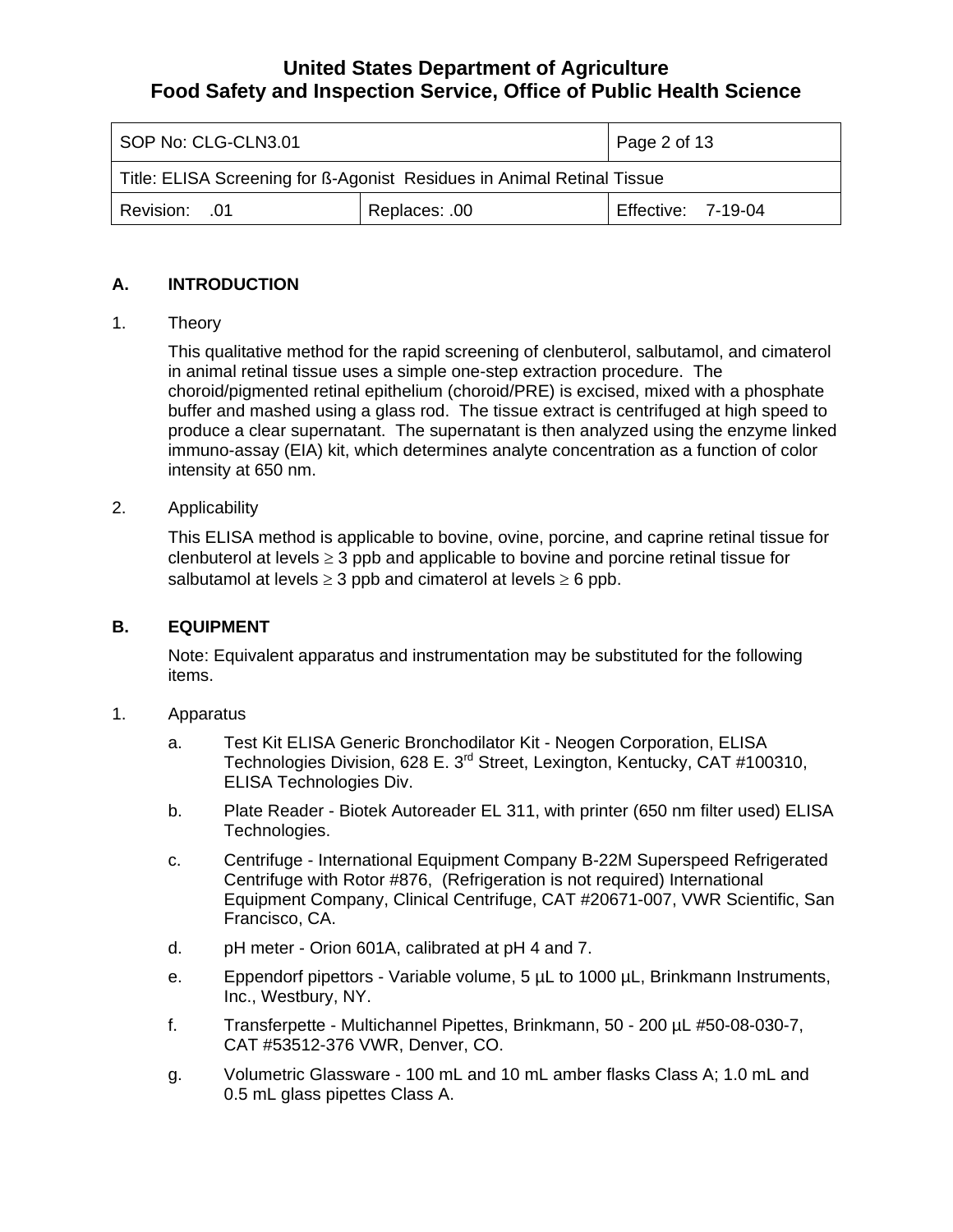<span id="page-1-0"></span>

| SOP No: CLG-CLN3.01                                                    |  | Page 2 of 13              |
|------------------------------------------------------------------------|--|---------------------------|
| Title: ELISA Screening for B-Agonist Residues in Animal Retinal Tissue |  |                           |
| 01. Revision: 01<br>Replaces: .00                                      |  | <b>Effective: 7-19-04</b> |

### **A. INTRODUCTION**

1. Theory

This qualitative method for the rapid screening of clenbuterol, salbutamol, and cimaterol in animal retinal tissue uses a simple one-step extraction procedure. The choroid/pigmented retinal epithelium (choroid/PRE) is excised, mixed with a phosphate buffer and mashed using a glass rod. The tissue extract is centrifuged at high speed to produce a clear supernatant. The supernatant is then analyzed using the enzyme linked immuno-assay (EIA) kit, which determines analyte concentration as a function of color intensity at 650 nm.

2. Applicability

This ELISA method is applicable to bovine, ovine, porcine, and caprine retinal tissue for clenbuterol at levels  $\geq 3$  ppb and applicable to bovine and porcine retinal tissue for salbutamol at levels  $\geq 3$  ppb and cimaterol at levels  $\geq 6$  ppb.

#### **B. EQUIPMENT**

Note: Equivalent apparatus and instrumentation may be substituted for the following items.

- 1. Apparatus
	- a. Test Kit ELISA Generic Bronchodilator Kit Neogen Corporation, ELISA Technologies Division, 628 E. 3rd Street, Lexington, Kentucky, CAT #100310, ELISA Technologies Div.
	- b. Plate Reader Biotek Autoreader EL 311, with printer (650 nm filter used) ELISA Technologies.
	- c. Centrifuge International Equipment Company B-22M Superspeed Refrigerated Centrifuge with Rotor #876, (Refrigeration is not required) International Equipment Company, Clinical Centrifuge, CAT #20671-007, VWR Scientific, San Francisco, CA.
	- d. pH meter Orion 601A, calibrated at pH 4 and 7.
	- e. Eppendorf pipettors Variable volume, 5 µL to 1000 µL, Brinkmann Instruments, Inc., Westbury, NY.
	- f. Transferpette Multichannel Pipettes, Brinkmann, 50 200 µL #50-08-030-7, CAT #53512-376 VWR, Denver, CO.
	- g. Volumetric Glassware 100 mL and 10 mL amber flasks Class A; 1.0 mL and 0.5 mL glass pipettes Class A.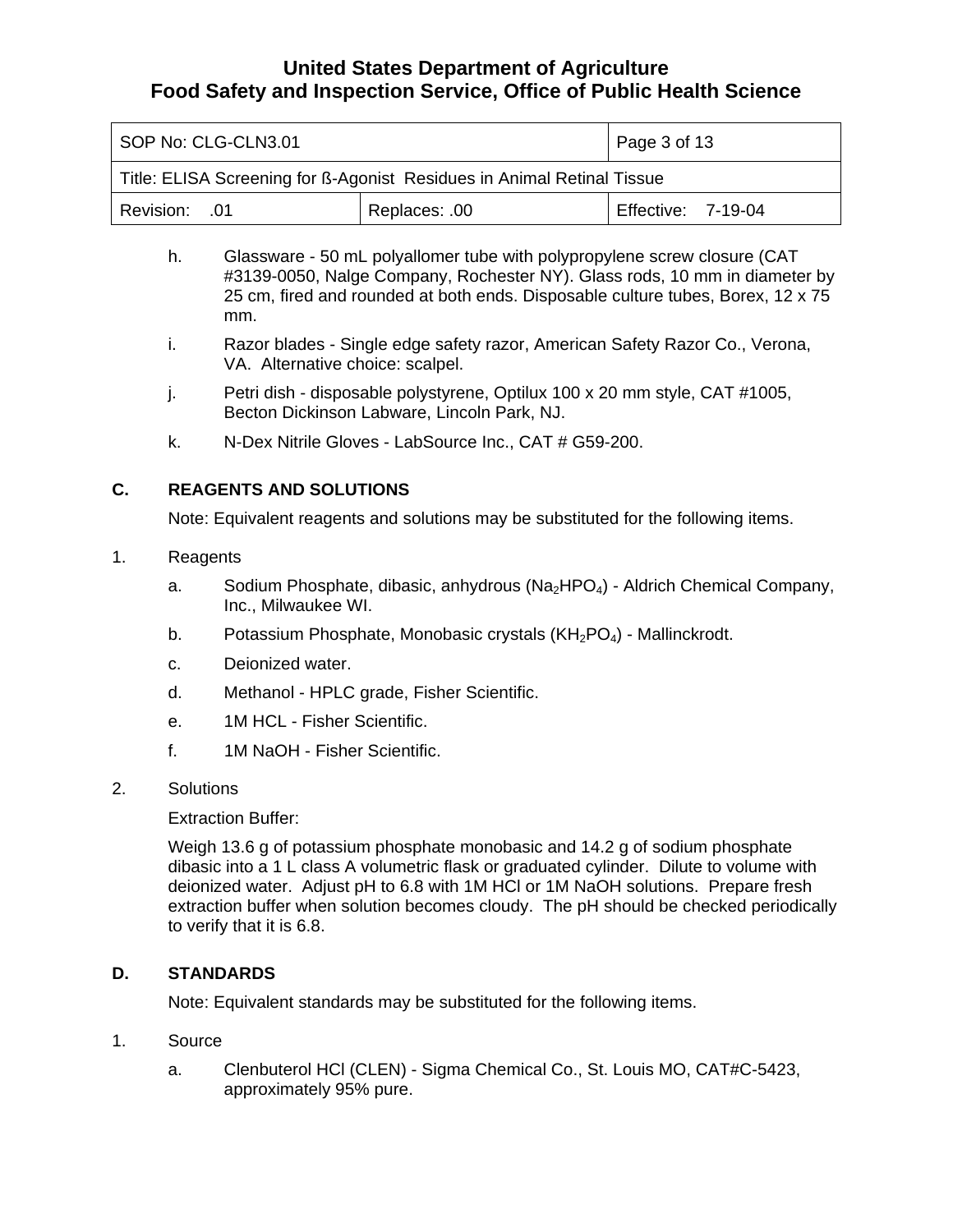<span id="page-2-0"></span>

| SOP No: CLG-CLN3.01                                                    |               | Page 3 of 13              |
|------------------------------------------------------------------------|---------------|---------------------------|
| Title: ELISA Screening for ß-Agonist Residues in Animal Retinal Tissue |               |                           |
| Revision: 01                                                           | Replaces: .00 | <b>Effective: 7-19-04</b> |

- h. Glassware 50 mL polyallomer tube with polypropylene screw closure (CAT #3139-0050, Nalge Company, Rochester NY). Glass rods, 10 mm in diameter by 25 cm, fired and rounded at both ends. Disposable culture tubes, Borex, 12 x 75 mm.
- i. Razor blades Single edge safety razor, American Safety Razor Co., Verona, VA. Alternative choice: scalpel.
- j. Petri dish disposable polystyrene, Optilux 100 x 20 mm style, CAT #1005, Becton Dickinson Labware, Lincoln Park, NJ.
- k. N-Dex Nitrile Gloves LabSource Inc., CAT # G59-200.

#### **C. REAGENTS AND SOLUTIONS**

Note: Equivalent reagents and solutions may be substituted for the following items.

#### 1. Reagents

- a. Sodium Phosphate, dibasic, anhydrous (Na<sub>2</sub>HPO<sub>4</sub>) Aldrich Chemical Company, Inc., Milwaukee WI.
- b. Potassium Phosphate, Monobasic crystals  $(KH_2PO_4)$  Mallinckrodt.
- c. Deionized water.
- d. Methanol HPLC grade, Fisher Scientific.
- e. 1M HCL Fisher Scientific.
- f. 1M NaOH Fisher Scientific.
- 2. Solutions

#### Extraction Buffer:

Weigh 13.6 g of potassium phosphate monobasic and 14.2 g of sodium phosphate dibasic into a 1 L class A volumetric flask or graduated cylinder. Dilute to volume with deionized water. Adjust pH to 6.8 with 1M HCl or 1M NaOH solutions. Prepare fresh extraction buffer when solution becomes cloudy. The pH should be checked periodically to verify that it is 6.8.

#### **D. STANDARDS**

Note: Equivalent standards may be substituted for the following items.

- 1. Source
	- a. Clenbuterol HCl (CLEN) Sigma Chemical Co., St. Louis MO, CAT#C-5423, approximately 95% pure.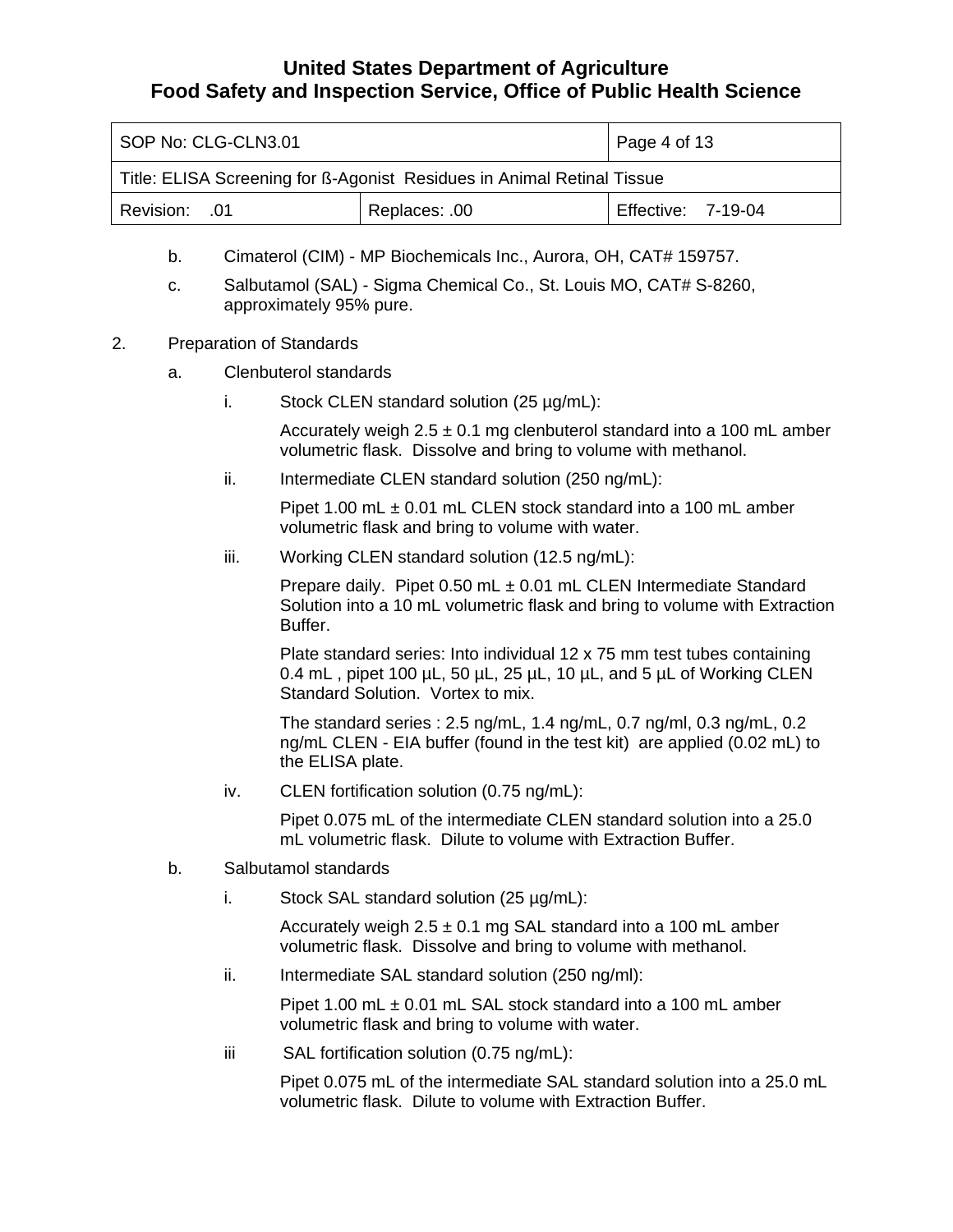| SOP No: CLG-CLN3.01                                                    |  | Page 4 of 13              |
|------------------------------------------------------------------------|--|---------------------------|
| Title: ELISA Screening for ß-Agonist Residues in Animal Retinal Tissue |  |                           |
| Replaces: .00<br>01. Revision: 0                                       |  | <b>Effective: 7-19-04</b> |

- b. Cimaterol (CIM) MP Biochemicals Inc., Aurora, OH, CAT# 159757.
- c. Salbutamol (SAL) Sigma Chemical Co., St. Louis MO, CAT# S-8260, approximately 95% pure.
- 2. Preparation of Standards
	- a. Clenbuterol standards
		- i. Stock CLEN standard solution (25 µg/mL):

Accurately weigh  $2.5 \pm 0.1$  mg clenbuterol standard into a 100 mL amber volumetric flask. Dissolve and bring to volume with methanol.

ii. Intermediate CLEN standard solution (250 ng/mL):

Pipet 1.00 mL ± 0.01 mL CLEN stock standard into a 100 mL amber volumetric flask and bring to volume with water.

iii. Working CLEN standard solution (12.5 ng/mL):

Prepare daily. Pipet 0.50 mL ± 0.01 mL CLEN Intermediate Standard Solution into a 10 mL volumetric flask and bring to volume with Extraction Buffer.

Plate standard series: Into individual 12 x 75 mm test tubes containing 0.4 mL, pipet 100  $\mu$ L, 50  $\mu$ L, 25  $\mu$ L, 10  $\mu$ L, and 5  $\mu$ L of Working CLEN Standard Solution. Vortex to mix.

The standard series : 2.5 ng/mL, 1.4 ng/mL, 0.7 ng/ml, 0.3 ng/mL, 0.2 ng/mL CLEN - EIA buffer (found in the test kit) are applied (0.02 mL) to the ELISA plate.

iv. CLEN fortification solution (0.75 ng/mL):

Pipet 0.075 mL of the intermediate CLEN standard solution into a 25.0 mL volumetric flask. Dilute to volume with Extraction Buffer.

- b. Salbutamol standards
	- i. Stock SAL standard solution (25 µg/mL):

Accurately weigh  $2.5 \pm 0.1$  mg SAL standard into a 100 mL amber volumetric flask. Dissolve and bring to volume with methanol.

ii. Intermediate SAL standard solution (250 ng/ml):

Pipet 1.00 mL  $\pm$  0.01 mL SAL stock standard into a 100 mL amber volumetric flask and bring to volume with water.

iii SAL fortification solution (0.75 ng/mL):

Pipet 0.075 mL of the intermediate SAL standard solution into a 25.0 mL volumetric flask. Dilute to volume with Extraction Buffer.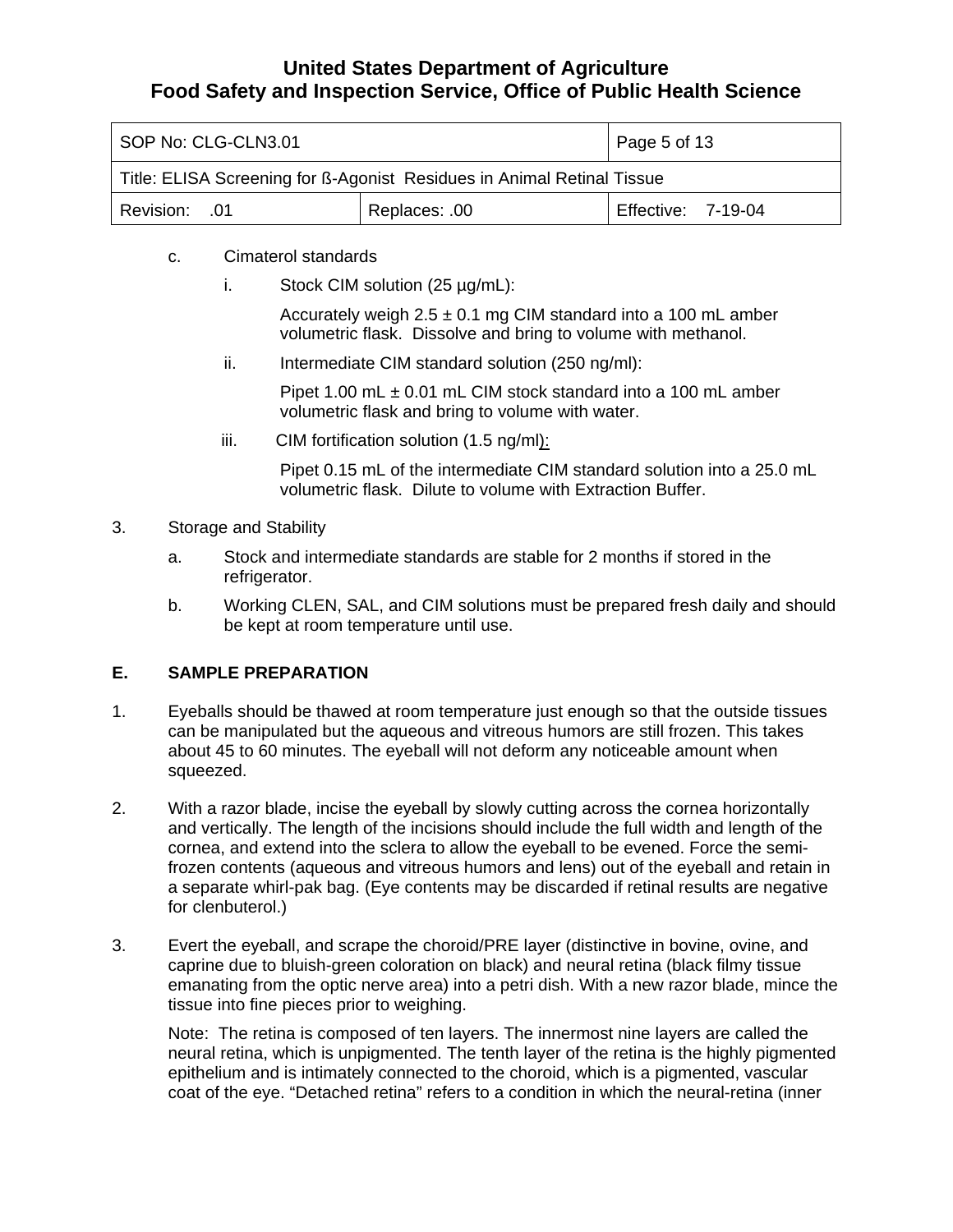<span id="page-4-0"></span>

| SOP No: CLG-CLN3.01                                                    |  | Page 5 of 13       |
|------------------------------------------------------------------------|--|--------------------|
| Title: ELISA Screening for ß-Agonist Residues in Animal Retinal Tissue |  |                    |
| Replaces: .00<br>Revision: 01                                          |  | Effective: 7-19-04 |

- c. Cimaterol standards
	- i. Stock CIM solution  $(25 \mu g/mL)$ :

Accurately weigh  $2.5 \pm 0.1$  mg CIM standard into a 100 mL amber volumetric flask. Dissolve and bring to volume with methanol.

ii. Intermediate CIM standard solution (250 ng/ml):

Pipet 1.00 mL  $\pm$  0.01 mL CIM stock standard into a 100 mL amber volumetric flask and bring to volume with water.

iii. CIM fortification solution (1.5 ng/ml):

Pipet 0.15 mL of the intermediate CIM standard solution into a 25.0 mL volumetric flask. Dilute to volume with Extraction Buffer.

- 3. Storage and Stability
	- a. Stock and intermediate standards are stable for 2 months if stored in the refrigerator.
	- b. Working CLEN, SAL, and CIM solutions must be prepared fresh daily and should be kept at room temperature until use.

### **E. SAMPLE PREPARATION**

- 1. Eyeballs should be thawed at room temperature just enough so that the outside tissues can be manipulated but the aqueous and vitreous humors are still frozen. This takes about 45 to 60 minutes. The eyeball will not deform any noticeable amount when squeezed.
- 2. With a razor blade, incise the eyeball by slowly cutting across the cornea horizontally and vertically. The length of the incisions should include the full width and length of the cornea, and extend into the sclera to allow the eyeball to be evened. Force the semifrozen contents (aqueous and vitreous humors and lens) out of the eyeball and retain in a separate whirl-pak bag. (Eye contents may be discarded if retinal results are negative for clenbuterol.)
- 3. Evert the eyeball, and scrape the choroid/PRE layer (distinctive in bovine, ovine, and caprine due to bluish-green coloration on black) and neural retina (black filmy tissue emanating from the optic nerve area) into a petri dish. With a new razor blade, mince the tissue into fine pieces prior to weighing.

Note: The retina is composed of ten layers. The innermost nine layers are called the neural retina, which is unpigmented. The tenth layer of the retina is the highly pigmented epithelium and is intimately connected to the choroid, which is a pigmented, vascular coat of the eye. "Detached retina" refers to a condition in which the neural-retina (inner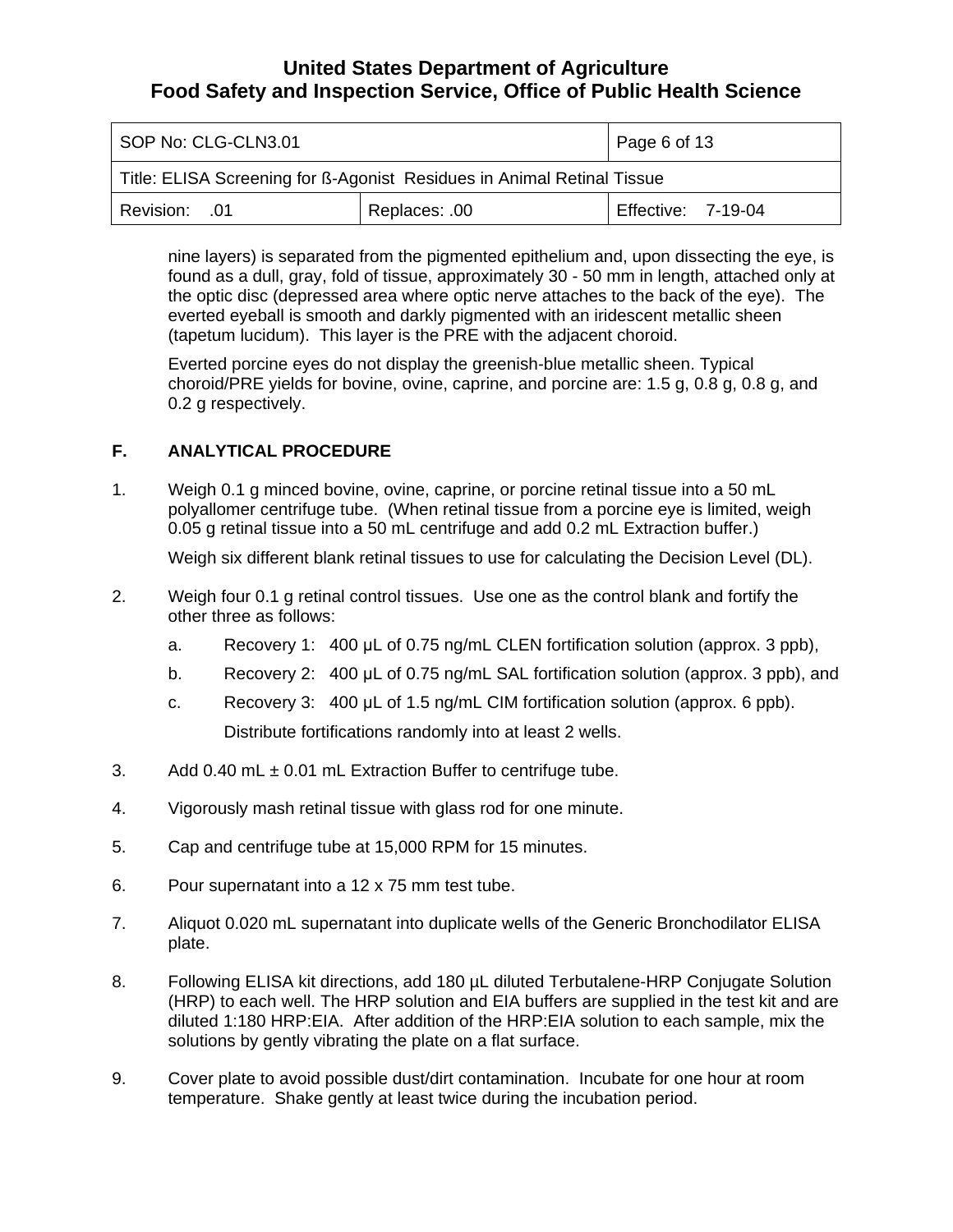<span id="page-5-0"></span>

| SOP No: CLG-CLN3.01                                                    |               | $\vert$ Page 6 of 13 |
|------------------------------------------------------------------------|---------------|----------------------|
| Title: ELISA Screening for ß-Agonist Residues in Animal Retinal Tissue |               |                      |
| Revision: 01                                                           | Replaces: .00 | Effective: 7-19-04   |

nine layers) is separated from the pigmented epithelium and, upon dissecting the eye, is found as a dull, gray, fold of tissue, approximately 30 - 50 mm in length, attached only at the optic disc (depressed area where optic nerve attaches to the back of the eye). The everted eyeball is smooth and darkly pigmented with an iridescent metallic sheen (tapetum lucidum). This layer is the PRE with the adjacent choroid.

Everted porcine eyes do not display the greenish-blue metallic sheen. Typical choroid/PRE yields for bovine, ovine, caprine, and porcine are: 1.5 g, 0.8 g, 0.8 g, and 0.2 g respectively.

### **F. ANALYTICAL PROCEDURE**

1. Weigh 0.1 g minced bovine, ovine, caprine, or porcine retinal tissue into a 50 mL polyallomer centrifuge tube. (When retinal tissue from a porcine eye is limited, weigh 0.05 g retinal tissue into a 50 mL centrifuge and add 0.2 mL Extraction buffer.)

Weigh six different blank retinal tissues to use for calculating the Decision Level (DL).

- 2. Weigh four 0.1 g retinal control tissues. Use one as the control blank and fortify the other three as follows:
	- a. Recovery 1: 400 μL of 0.75 ng/mL CLEN fortification solution (approx. 3 ppb),
	- b. Recovery 2: 400 μL of 0.75 ng/mL SAL fortification solution (approx. 3 ppb), and
	- c. Recovery 3: 400 μL of 1.5 ng/mL CIM fortification solution (approx. 6 ppb). Distribute fortifications randomly into at least 2 wells.
- 3. Add 0.40 mL  $\pm$  0.01 mL Extraction Buffer to centrifuge tube.
- 4. Vigorously mash retinal tissue with glass rod for one minute.
- 5. Cap and centrifuge tube at 15,000 RPM for 15 minutes.
- 6. Pour supernatant into a 12 x 75 mm test tube.
- 7. Aliquot 0.020 mL supernatant into duplicate wells of the Generic Bronchodilator ELISA plate.
- 8. Following ELISA kit directions, add 180 µL diluted Terbutalene-HRP Conjugate Solution (HRP) to each well. The HRP solution and EIA buffers are supplied in the test kit and are diluted 1:180 HRP:EIA. After addition of the HRP:EIA solution to each sample, mix the solutions by gently vibrating the plate on a flat surface.
- 9. Cover plate to avoid possible dust/dirt contamination. Incubate for one hour at room temperature. Shake gently at least twice during the incubation period.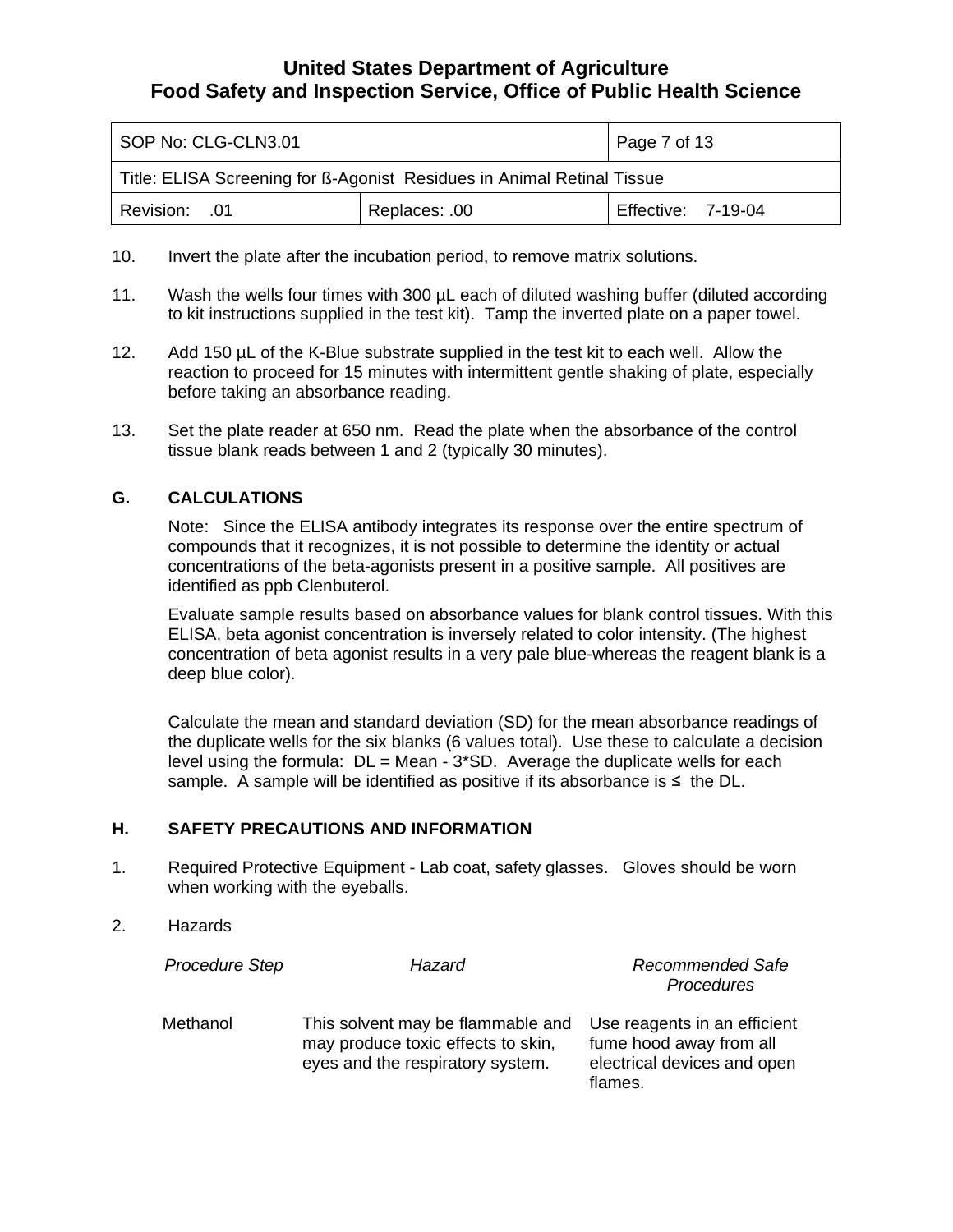<span id="page-6-0"></span>

| SOP No: CLG-CLN3.01                                                    |               | Page 7 of 13       |
|------------------------------------------------------------------------|---------------|--------------------|
| Title: ELISA Screening for B-Agonist Residues in Animal Retinal Tissue |               |                    |
| <b>Revision: .01</b>                                                   | Replaces: .00 | Effective: 7-19-04 |

- 10. Invert the plate after the incubation period, to remove matrix solutions.
- 11. Wash the wells four times with 300 µL each of diluted washing buffer (diluted according to kit instructions supplied in the test kit). Tamp the inverted plate on a paper towel.
- 12. Add 150 µL of the K-Blue substrate supplied in the test kit to each well. Allow the reaction to proceed for 15 minutes with intermittent gentle shaking of plate, especially before taking an absorbance reading.
- 13. Set the plate reader at 650 nm. Read the plate when the absorbance of the control tissue blank reads between 1 and 2 (typically 30 minutes).

#### **G. CALCULATIONS**

Note: Since the ELISA antibody integrates its response over the entire spectrum of compounds that it recognizes, it is not possible to determine the identity or actual concentrations of the beta-agonists present in a positive sample. All positives are identified as ppb Clenbuterol.

Evaluate sample results based on absorbance values for blank control tissues. With this ELISA, beta agonist concentration is inversely related to color intensity. (The highest concentration of beta agonist results in a very pale blue-whereas the reagent blank is a deep blue color).

Calculate the mean and standard deviation (SD) for the mean absorbance readings of the duplicate wells for the six blanks (6 values total). Use these to calculate a decision level using the formula:  $DL = Mean - 3*SD$ . Average the duplicate wells for each sample. A sample will be identified as positive if its absorbance is  $\leq$  the DL.

#### **H. SAFETY PRECAUTIONS AND INFORMATION**

- 1. Required Protective Equipment Lab coat, safety glasses. Gloves should be worn when working with the eyeballs.
- 2. Hazards

| <b>Procedure Step</b> | Hazard                                                                                                      | <b>Recommended Safe</b><br>Procedures                                                             |
|-----------------------|-------------------------------------------------------------------------------------------------------------|---------------------------------------------------------------------------------------------------|
| Methanol              | This solvent may be flammable and<br>may produce toxic effects to skin,<br>eyes and the respiratory system. | Use reagents in an efficient<br>fume hood away from all<br>electrical devices and open<br>flames. |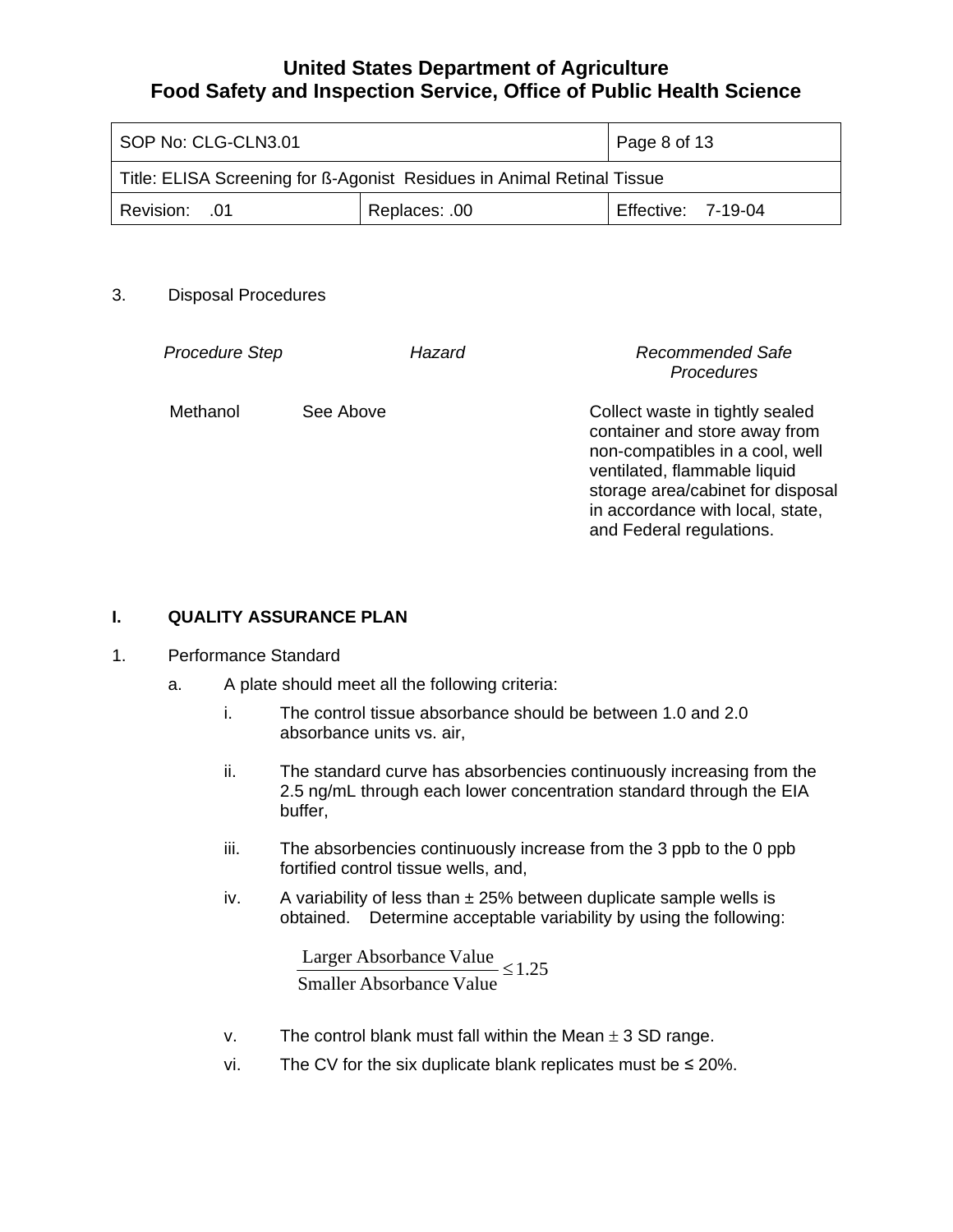<span id="page-7-0"></span>

| SOP No: CLG-CLN3.01                                                    |  | $\vert$ Page 8 of 13 |
|------------------------------------------------------------------------|--|----------------------|
| Title: ELISA Screening for B-Agonist Residues in Animal Retinal Tissue |  |                      |
| Replaces: .00<br>Revision: 01                                          |  | Effective: 7-19-04   |

#### 3. Disposal Procedures

| <b>Procedure Step</b> |           | Hazard | Recommended Safe<br>Procedures                                                                                                                                                                                                           |
|-----------------------|-----------|--------|------------------------------------------------------------------------------------------------------------------------------------------------------------------------------------------------------------------------------------------|
| Methanol              | See Above |        | Collect waste in tightly sealed<br>container and store away from<br>non-compatibles in a cool, well<br>ventilated, flammable liquid<br>storage area/cabinet for disposal<br>in accordance with local, state,<br>and Federal regulations. |

#### **I. QUALITY ASSURANCE PLAN**

#### 1. Performance Standard

- a. A plate should meet all the following criteria:
	- i. The control tissue absorbance should be between 1.0 and 2.0 absorbance units vs. air,
	- ii. The standard curve has absorbencies continuously increasing from the 2.5 ng/mL through each lower concentration standard through the EIA buffer,
	- iii. The absorbencies continuously increase from the 3 ppb to the 0 ppb fortified control tissue wells, and,
	- iv. A variability of less than  $\pm 25%$  between duplicate sample wells is obtained. Determine acceptable variability by using the following:

Larger Absorbance Value  $\leq 1.25$ Smaller Absorbance Value

- v. The control blank must fall within the Mean  $\pm$  3 SD range.
- vi. The CV for the six duplicate blank replicates must be  $\leq$  20%.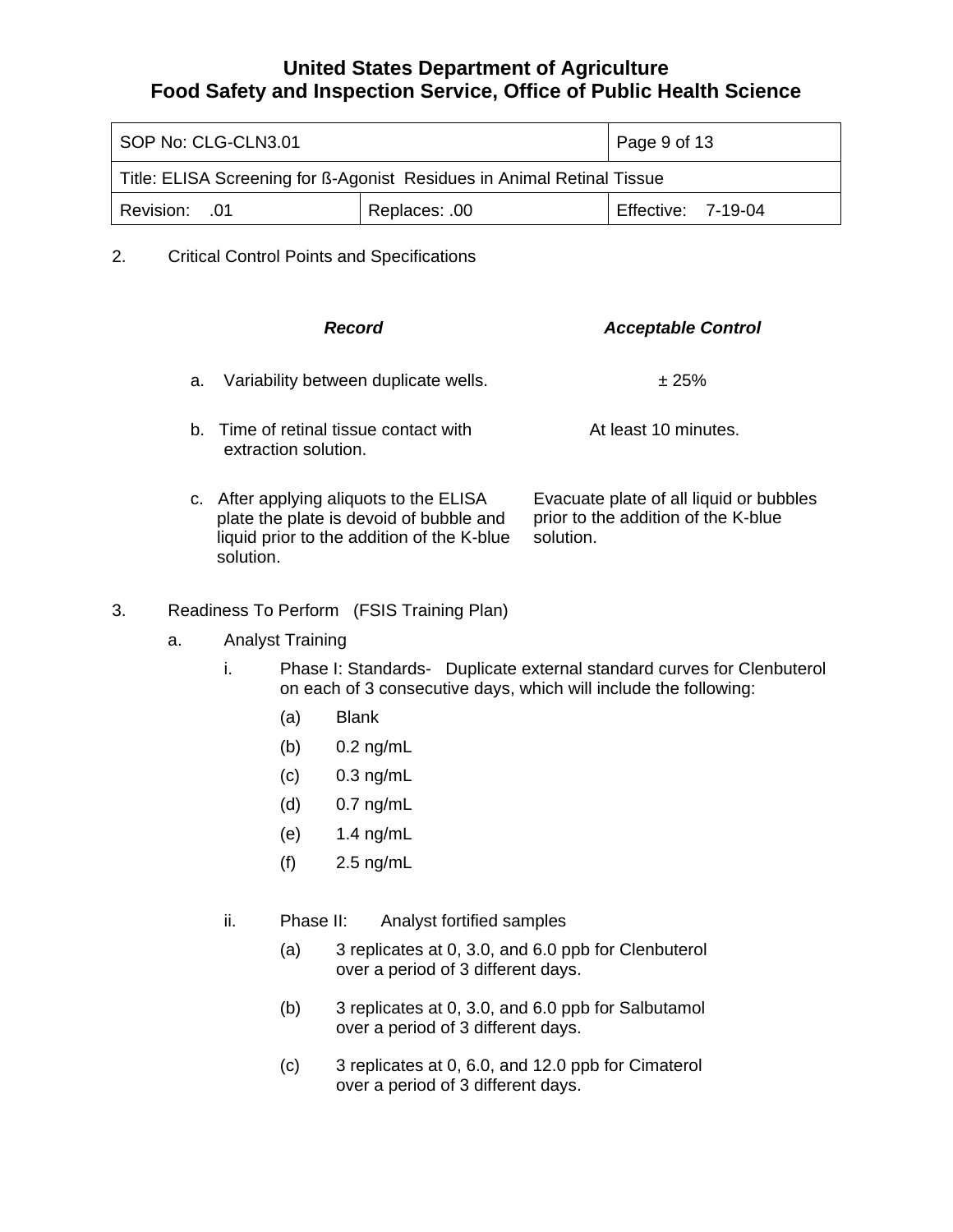| SOP No: CLG-CLN3.01                                                    |               | Page 9 of 13              |
|------------------------------------------------------------------------|---------------|---------------------------|
| Title: ELISA Screening for B-Agonist Residues in Animal Retinal Tissue |               |                           |
| <b>Revision: .01</b>                                                   | Replaces: .00 | <b>Effective: 7-19-04</b> |

2. Critical Control Points and Specifications

|    | Record                                                                                                                                        | <b>Acceptable Control</b>                                                                   |  |  |  |
|----|-----------------------------------------------------------------------------------------------------------------------------------------------|---------------------------------------------------------------------------------------------|--|--|--|
| а. | Variability between duplicate wells.                                                                                                          | ± 25%                                                                                       |  |  |  |
|    | b. Time of retinal tissue contact with<br>extraction solution.                                                                                | At least 10 minutes.                                                                        |  |  |  |
|    | c. After applying aliquots to the ELISA<br>plate the plate is devoid of bubble and<br>liquid prior to the addition of the K-blue<br>solution. | Evacuate plate of all liquid or bubbles<br>prior to the addition of the K-blue<br>solution. |  |  |  |

### 3. Readiness To Perform (FSIS Training Plan)

- a. Analyst Training
	- i. Phase I: Standards- Duplicate external standard curves for Clenbuterol on each of 3 consecutive days, which will include the following:
		- (a) Blank
		- (b) 0.2 ng/mL
		- (c) 0.3 ng/mL
		- (d) 0.7 ng/mL
		- (e) 1.4 ng/mL
		- (f) 2.5 ng/mL
	- ii. Phase II: Analyst fortified samples
		- (a) 3 replicates at 0, 3.0, and 6.0 ppb for Clenbuterol over a period of 3 different days.
		- (b) 3 replicates at 0, 3.0, and 6.0 ppb for Salbutamol over a period of 3 different days.
		- (c) 3 replicates at 0, 6.0, and 12.0 ppb for Cimaterol over a period of 3 different days.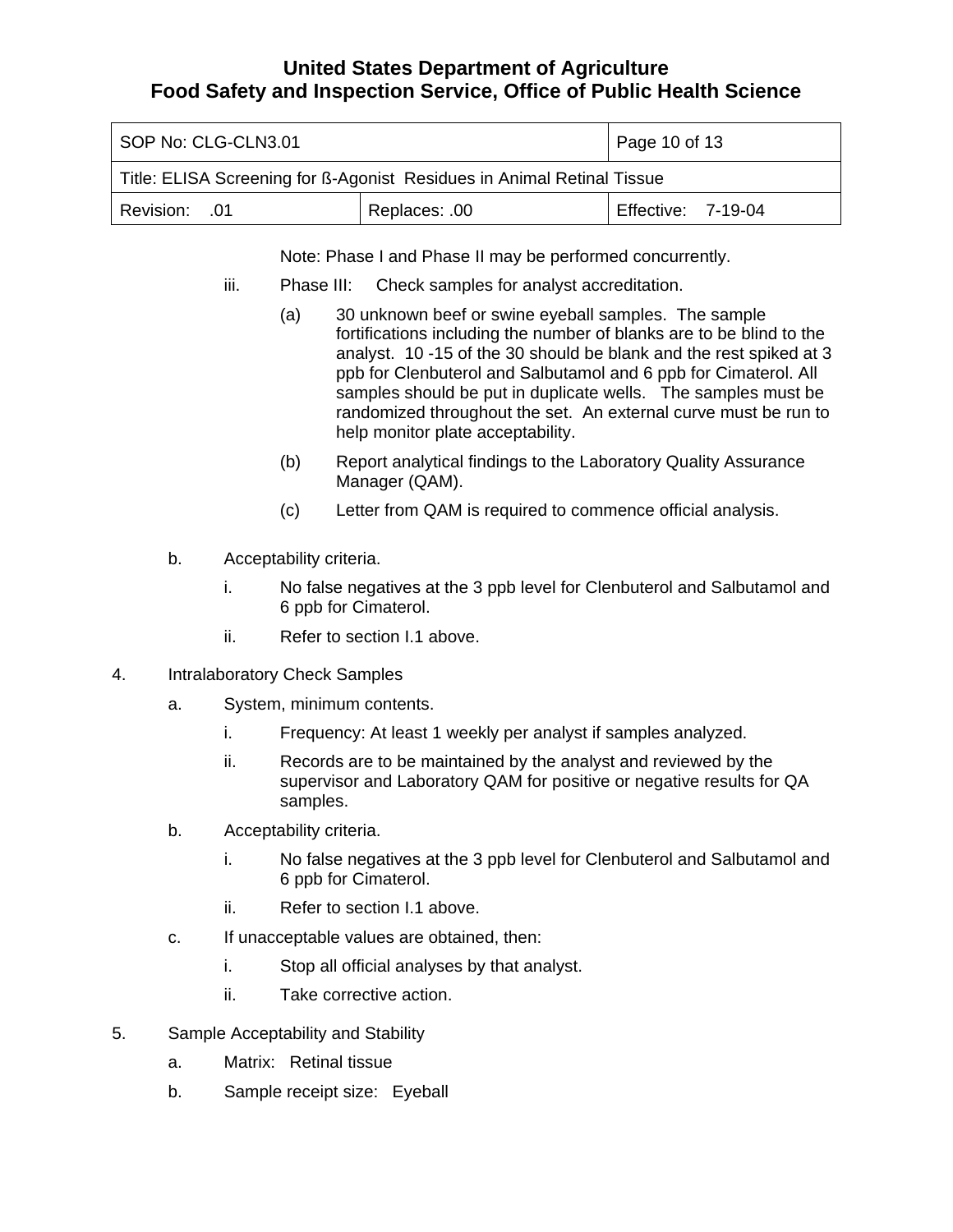| SOP No: CLG-CLN3.01                                                    | Page 10 of 13 |                    |  |  |  |  |  |
|------------------------------------------------------------------------|---------------|--------------------|--|--|--|--|--|
| Title: ELISA Screening for B-Agonist Residues in Animal Retinal Tissue |               |                    |  |  |  |  |  |
| Revision: 01                                                           | Replaces: .00 | Effective: 7-19-04 |  |  |  |  |  |

Note: Phase I and Phase II may be performed concurrently.

- iii. Phase III: Check samples for analyst accreditation.
	- (a) 30 unknown beef or swine eyeball samples. The sample fortifications including the number of blanks are to be blind to the analyst. 10 -15 of the 30 should be blank and the rest spiked at 3 ppb for Clenbuterol and Salbutamol and 6 ppb for Cimaterol. All samples should be put in duplicate wells. The samples must be randomized throughout the set. An external curve must be run to help monitor plate acceptability.
	- (b) Report analytical findings to the Laboratory Quality Assurance Manager (QAM).
	- (c) Letter from QAM is required to commence official analysis.
- b. Acceptability criteria.
	- i. No false negatives at the 3 ppb level for Clenbuterol and Salbutamol and 6 ppb for Cimaterol.
	- ii. Refer to section I.1 above.
- 4. Intralaboratory Check Samples
	- a. System, minimum contents.
		- i. Frequency: At least 1 weekly per analyst if samples analyzed.
		- ii. Records are to be maintained by the analyst and reviewed by the supervisor and Laboratory QAM for positive or negative results for QA samples.
	- b. Acceptability criteria.
		- i. No false negatives at the 3 ppb level for Clenbuterol and Salbutamol and 6 ppb for Cimaterol.
		- ii. Refer to section I.1 above.
	- c. If unacceptable values are obtained, then:
		- i. Stop all official analyses by that analyst.
		- ii. Take corrective action.
- 5. Sample Acceptability and Stability
	- a. Matrix: Retinal tissue
	- b. Sample receipt size: Eyeball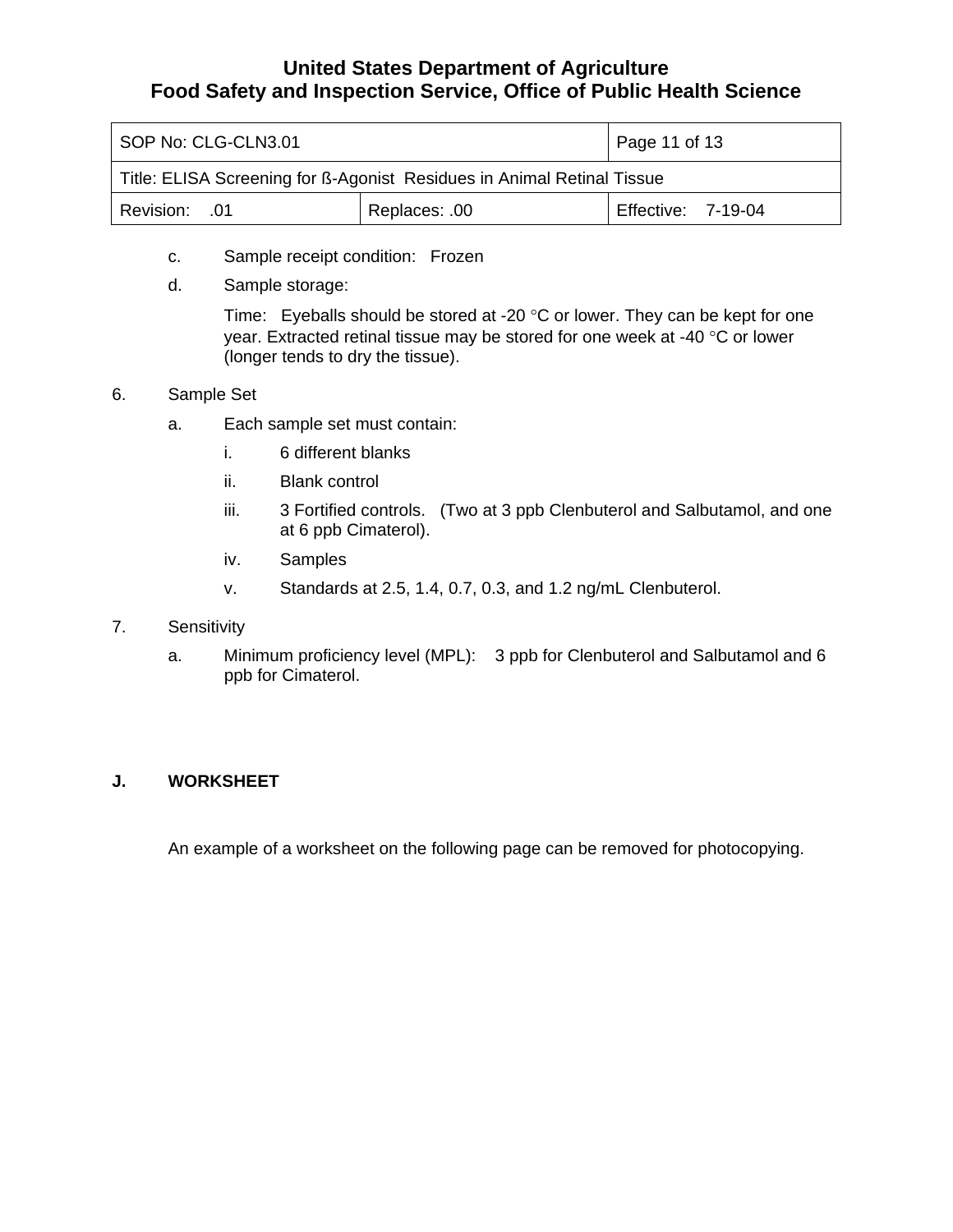<span id="page-10-0"></span>

| SOP No: CLG-CLN3.01                                                    | Page 11 of 13 |                           |  |  |  |  |  |
|------------------------------------------------------------------------|---------------|---------------------------|--|--|--|--|--|
| Title: ELISA Screening for ß-Agonist Residues in Animal Retinal Tissue |               |                           |  |  |  |  |  |
| Revision: 01                                                           | Replaces: .00 | <b>Effective: 7-19-04</b> |  |  |  |  |  |

- c. Sample receipt condition: Frozen
- d. Sample storage:

Time: Eyeballs should be stored at -20 °C or lower. They can be kept for one year. Extracted retinal tissue may be stored for one week at -40 °C or lower (longer tends to dry the tissue).

- 6. Sample Set
	- a. Each sample set must contain:
		- i. 6 different blanks
		- ii. Blank control
		- iii. 3 Fortified controls. (Two at 3 ppb Clenbuterol and Salbutamol, and one at 6 ppb Cimaterol).
		- iv. Samples
		- v. Standards at 2.5, 1.4, 0.7, 0.3, and 1.2 ng/mL Clenbuterol.
- 7. Sensitivity
	- a. Minimum proficiency level (MPL): 3 ppb for Clenbuterol and Salbutamol and 6 ppb for Cimaterol.

### **J. WORKSHEET**

An example of a worksheet on the following page can be removed for photocopying.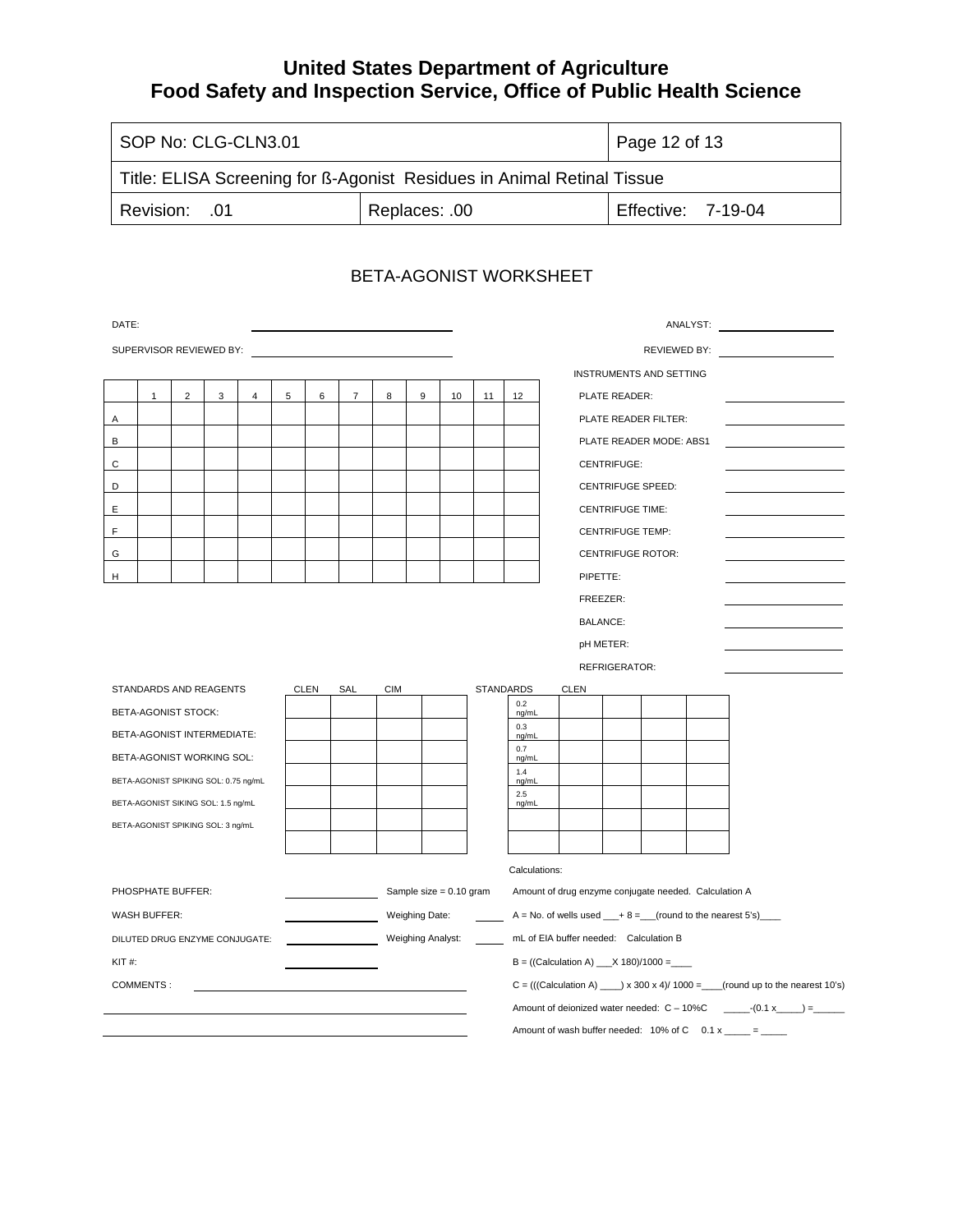| I SOP No: CLG-CLN3.01                                                  | Page 12 of 13 |                    |  |  |  |  |  |
|------------------------------------------------------------------------|---------------|--------------------|--|--|--|--|--|
| Title: ELISA Screening for ß-Agonist Residues in Animal Retinal Tissue |               |                    |  |  |  |  |  |
| <b>Revision: .01</b>                                                   | Replaces: .00 | Effective: 7-19-04 |  |  |  |  |  |

### BETA-AGONIST WORKSHEET

| DATE:                                |              |                |                                    |   |   |                   |                           |            |                                                             |                                                       |                                         |                                                                               | ANALYST: ANALYST:        |  |  |
|--------------------------------------|--------------|----------------|------------------------------------|---|---|-------------------|---------------------------|------------|-------------------------------------------------------------|-------------------------------------------------------|-----------------------------------------|-------------------------------------------------------------------------------|--------------------------|--|--|
| SUPERVISOR REVIEWED BY:              |              |                |                                    |   |   |                   |                           |            |                                                             |                                                       |                                         |                                                                               | REVIEWED BY:             |  |  |
|                                      |              |                |                                    |   |   |                   |                           |            |                                                             |                                                       |                                         | <b>INSTRUMENTS AND SETTING</b>                                                |                          |  |  |
|                                      | $\mathbf{1}$ | $\overline{c}$ | 3                                  | 4 | 5 | 6                 | $\overline{7}$            | 8          | 9                                                           | 10                                                    | 11                                      | 12                                                                            | PLATE READER:            |  |  |
| Α                                    |              |                |                                    |   |   |                   |                           |            |                                                             |                                                       |                                         |                                                                               | PLATE READER FILTER:     |  |  |
| В                                    |              |                |                                    |   |   |                   |                           |            |                                                             |                                                       |                                         |                                                                               | PLATE READER MODE: ABS1  |  |  |
| С                                    |              |                |                                    |   |   |                   |                           |            |                                                             |                                                       |                                         |                                                                               | CENTRIFUGE:              |  |  |
| D                                    |              |                |                                    |   |   |                   |                           |            |                                                             |                                                       |                                         |                                                                               | CENTRIFUGE SPEED:        |  |  |
| Ε                                    |              |                |                                    |   |   |                   |                           |            |                                                             |                                                       |                                         |                                                                               | <b>CENTRIFUGE TIME:</b>  |  |  |
| F                                    |              |                |                                    |   |   |                   |                           |            |                                                             |                                                       |                                         |                                                                               | <b>CENTRIFUGE TEMP:</b>  |  |  |
| G                                    |              |                |                                    |   |   |                   |                           |            |                                                             |                                                       |                                         |                                                                               | <b>CENTRIFUGE ROTOR:</b> |  |  |
| Н                                    |              |                |                                    |   |   |                   |                           |            |                                                             |                                                       |                                         |                                                                               | PIPETTE:                 |  |  |
|                                      |              |                |                                    |   |   |                   |                           |            |                                                             |                                                       |                                         | FREEZER:                                                                      |                          |  |  |
|                                      |              |                |                                    |   |   |                   |                           |            |                                                             |                                                       |                                         |                                                                               | <b>BALANCE:</b>          |  |  |
|                                      |              |                |                                    |   |   |                   |                           |            |                                                             |                                                       |                                         |                                                                               | pH METER:                |  |  |
|                                      |              |                |                                    |   |   |                   |                           |            |                                                             |                                                       |                                         |                                                                               | <b>REFRIGERATOR:</b>     |  |  |
|                                      |              |                | STANDARDS AND REAGENTS             |   |   | <b>CLEN</b>       | SAL                       | <b>CIM</b> |                                                             |                                                       |                                         | <b>STANDARDS</b><br>0.2                                                       | <b>CLEN</b>              |  |  |
| <b>BETA-AGONIST STOCK:</b>           |              |                |                                    |   |   |                   |                           |            |                                                             | ng/mL<br>0.3                                          |                                         |                                                                               |                          |  |  |
|                                      |              |                | BETA-AGONIST INTERMEDIATE:         |   |   |                   |                           |            |                                                             |                                                       |                                         | ng/mL<br>0.7                                                                  |                          |  |  |
| BETA-AGONIST WORKING SOL:            |              |                |                                    |   |   |                   |                           |            |                                                             |                                                       | ng/mL<br>1.4                            |                                                                               |                          |  |  |
| BETA-AGONIST SPIKING SOL: 0.75 ng/mL |              |                |                                    |   |   |                   |                           |            |                                                             |                                                       | ng/mL<br>2.5                            |                                                                               |                          |  |  |
|                                      |              |                | BETA-AGONIST SIKING SOL: 1.5 ng/mL |   |   |                   |                           |            |                                                             |                                                       |                                         | ng/mL                                                                         |                          |  |  |
| BETA-AGONIST SPIKING SOL: 3 ng/mL    |              |                |                                    |   |   |                   |                           |            |                                                             |                                                       |                                         |                                                                               |                          |  |  |
|                                      |              |                |                                    |   |   |                   |                           |            |                                                             |                                                       |                                         |                                                                               |                          |  |  |
|                                      |              |                |                                    |   |   |                   |                           |            |                                                             |                                                       | Calculations:                           |                                                                               |                          |  |  |
| PHOSPHATE BUFFER:                    |              |                |                                    |   |   |                   | Sample size $= 0.10$ gram |            |                                                             | Amount of drug enzyme conjugate needed. Calculation A |                                         |                                                                               |                          |  |  |
| <b>WASH BUFFER:</b>                  |              |                |                                    |   |   | Weighing Date:    |                           |            | $A = No$ . of wells used $+ 8 =$ (round to the nearest 5's) |                                                       |                                         |                                                                               |                          |  |  |
| DILUTED DRUG ENZYME CONJUGATE:       |              |                |                                    |   |   | Weighing Analyst: |                           |            |                                                             | mL of EIA buffer needed: Calculation B                |                                         |                                                                               |                          |  |  |
| $KIT$ #:                             |              |                |                                    |   |   |                   |                           |            |                                                             |                                                       | $B = ((Calculation A) _x X 180)/1000 =$ |                                                                               |                          |  |  |
| COMMENTS:                            |              |                |                                    |   |   |                   |                           |            |                                                             |                                                       |                                         | $C = (((Calculation A) \_ x 300 x 4) / 1000 = (round up to the nearest 10's)$ |                          |  |  |
|                                      |              |                |                                    |   |   |                   |                           |            |                                                             |                                                       |                                         |                                                                               |                          |  |  |
|                                      |              |                |                                    |   |   |                   |                           |            |                                                             |                                                       |                                         | Amount of wash buffer needed: $10\%$ of C $0.1 \times$ _____ = _____          |                          |  |  |